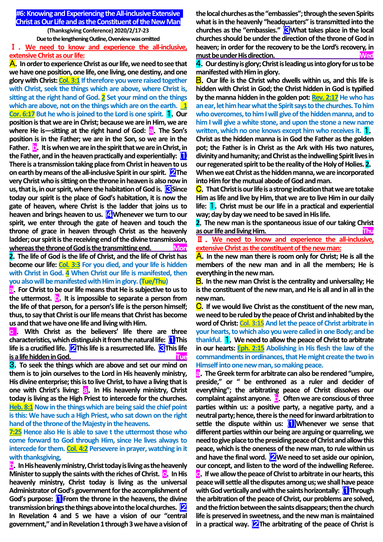**#6:Knowing and Experiencing the All-inclusive Extensive Christ as Our Life and as the Constituent of the New Man**

> **(Thanksgiving Conference) 2020/2/17-23 Due to the lengthening Outline, Overview was omitted**

Ⅰ . **We need to know and experience the all-inclusive, extensive Christ as our life:**

A.**In order to experience Christ as our life, we need to see that we have one position, one life, one living, one destiny, and one glory with Christ: Col. 3:1 If therefore you were raised together with Christ, seek the things which are above, where Christ is, sitting at the right hand of God. 2 Set your mind on the things**  which are above, not on the things which are on the earth. 1 **Cor. 6:17** But he who is joined to the Lord is one spirit. **1** Our **position is that we are in Christ; because we are in Him, we are where He is—sitting at the right hand of God: a. The Son's <b>v position is in the Father; we are in the Son, so we are in the Father. c**. It is when we are in the spirit that we are in Christ, in **the Father, and in the heaven practically and experientially:** ⑴ **There is a transmission taking place from Christ in heaven to us on earth by means of the all-inclusive Spirit in our spirit.** ⑵**The very Christ who is sitting on the throne in heaven is also now in us, that is, in our spirit, where the habitation of God is. <b>S** Since **today our spirit is the place of God's habitation, it is now the gate of heaven, where Christ is the ladder that joins us to**  heaven and brings heaven to us. **4** Whenever we turn to our **spirit, we enter through the gate of heaven and touch the throne of grace in heaven through Christ as the heavenly ladder; our spirit is the receiving end of the divine transmission, whereas the throne of God is the transmitting end. Mon 2**.**The life of God is the life of Christ, and the life of Christ has** 

**become our life: Col. 3:3 For you died, and your life is hidden with Christ in God. 4 When Christ our life is manifested, then you also will be manifested with Him in glory. (Tue/Thu)**

a.**For Christ to be our life means that He is subjective to us to the uttermost.** b.**It is impossible to separate a person from the life of that person, for a person's life is the person himself; thus, to say that Christ is our life means that Christ has become us and that we have one life and living with Him.**

c . **With Christ as the believers' life there are three characteristics, which distinguish it from the natural life:** ⑴**This life is a crucified life. 2** This life is a resurrected life. **3** This life **is a life hidden in God.** The state of the state of the state of the state of the state of the state of the state of the state of the state of the state of the state of the state of the state of the state of the state of

3.**To seek the things which are above and set our mind on them is to join ourselves to the Lord in His heavenly ministry, His divine enterprise; this is to live Christ, to have a living that is one with Christ's living: a. In His heavenly ministry, Christ today is living as the High Priest to intercede for the churches. Heb. 8:1 Now in the things which are being said the chief point is this: We have such a High Priest, who sat down on the right hand of the throne of the Majesty in the heavens.** 

**7:25 Hence also He is able to save t the uttermost those who come forward to God through Him, since He lives always to intercede for them. Col. 4:2 Persevere in prayer, watching in it with thanksgiving,**

**b**. In His heavenly ministry, Christ today is living as the heavenly **Minister to supply the saints with the riches of Christ. <b>c.** In His **heavenly ministry, Christ today is living as the universal Administrator of God's government for the accomplishment of God's purpose:** ⑴**From the throne in the heavens, the divine transmission brings the things above into the local churches.** ⑵ **In Revelation 4 and 5 we have a vision of our "central government," and in Revelation 1 through 3 we have a vision of**  **the local churches as the "embassies"; through the seven Spirits what is in the heavenly "headquarters" is transmitted into the churches as the "embassies."** ⑶**What takes place in the local churches should be under the direction of the throne of God in heaven; in order for the recovery to be the Lord's recovery, in must be under His direction. Wed**

4.**Our destiny is glory; Christ is leading us into glory for us to be manifested with Him in glory.**

B.**Our life is the Christ who dwells within us, and this life is hidden with Christ in God; the Christ hidden in God is typified by the manna hidden in the golden pot: Rev. 2:17 He who has an ear, let him hear what the Spirit says to the churches. To him who overcomes, to him I will give of the hidden manna, and to him I will give a white stone, and upon the stone a new name**  written, which no one knows except him who receives it.

**Christ as the hidden manna is in God the Father as the golden pot; the Father is in Christ as the Ark with His two natures, divinity and humanity; and Christ as the indwelling Spirit lives in our regenerated spirit to be the reality of the Holy of Holies. 2**. **When we eat Christ as the hidden manna, we are incorporated into Him for the mutual abode of God and man.**

C.**That Christ is our life is a strong indication that we are totake Him as life and live by Him, that we are to live Him in our daily life:** 1.**Christ must be our life in a practical and experiential way; day by day we need to be saved in His life.**

**2**.**The new man is the spontaneous issue of our taking Christ as our life and living Him. Thu**

Ⅱ . **We need to know and experience the all-inclusive, extensive Christ as the constituent of the new man:**

A.**In the new man there is room only for Christ; He is all the members of the new man and in all the members; He is everything in the new man.**

B.**In the new man Christ is the centrality and universality; He is the constituent of the new man, and He is all and in all in the new man.**

C.**If we would live Christ as the constituent of the new man, we need to be ruled by the peace of Christ and inhabited by the**  word of Christ: Col. 3:15 And let the peace of Christ arbitrate in **your hearts, to which also you were called in one Body; and be thankful.** 1.**We need to allow the peace of Christ to arbitrate in our hearts: Eph. 2:15 Abolishing in His flesh the law of the commandments in ordinances, that He might create the two in Himself into one new man, so making peace.**

a.**The Greek term for arbitrate can also be rendered "umpire, preside," or " be enthroned as a ruler and decider of everything"; the arbitrating peace of Christ dissolves our complaint against anyone.** b.**Often we are conscious of three parties within us: a positive party, a negative party, and a neutral party; hence, there is the need for inward arbitration to settle the dispute within us:** ⑴**Whenever we sense that different parties within our being are arguing or quarreling, we need to give place to the presidingpeace of Christ and allow this peace, which is the oneness of the new man, to rule within us and have the final word.** ⑵**We need to set aside our opinion, our concept, and listen to the word of the indwelling Referee.** c.**If we allow the peace of Christ to arbitrate in our hearts, this peace will settle all the disputes among us; we shall have peace with God vertically and with the saints horizontally:** ⑴**Through the arbitration of the peace of Christ, our problems are solved,**  and the friction between the saints disappears; then the church **life is preserved in sweetness, and the new man is maintained in a practical way.** ⑵**The arbitrating of the peace of Christ is**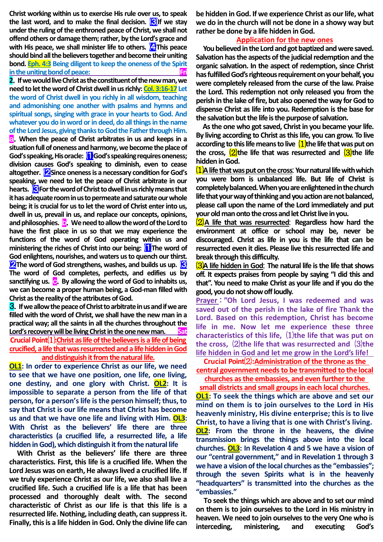**Christ working within us to exercise His rule over us, to speak**  the last word, and to make the final decision. **S**If we stay **under the ruling of the enthroned peace of Christ, we shall not offend others or damage them; rather, by the Lord's grace and with His peace, we shall minister life to others. 4** This peace **should bind all the believers together and become their uniting bond. Eph. 4:3 Being diligent to keep the oneness of the Spirit in the uniting bond of peace:** 

**2**.**If we would live Christ as the constituent of the new man, we need to let the word of Christ dwell in us richly: Col. 3:16-17Let the word of Christ dwell in you richly in all wisdom, teaching and admonishing one another with psalms and hymns and spiritual songs, singing with grace in your hearts to God. And whatever you do in word or in deed, do all things in the name of the Lord Jesus, giving thanks to God the Father through Him.** a.**When the peace of Christ arbitrates in us and keeps in a situation full of oneness and harmony, we become the place of God's speaking, His oracle:** ⑴**God's speaking requires oneness; division causes God's speaking to diminish, even to cease altogether.** ⑵**Since oneness is a necessary condition for God's speaking, we need to let the peace of Christ arbitrate in our**  hearts. **<u>S</u>For the word of Christ to dwell in us richly means that it has adequate room in us to permeate and saturate our whole being; it is crucial for us to let the word of Christ enter into us, dwell in us, prevail in us, and replace our concepts, opinions, and philosophies.** b.**We need to allow the word of the Lord to have the first place in us so that we may experience the functions of the word of God operating within us and ministering the riches of Christ into our being:** ⑴**The word of God enlightens, nourishes, and waters us to quench our thirst. 2** The word of God strengthens, washes, and builds us up. **6 The word of God completes, perfects, and edifies us by sanctifying us.** c.**By allowing the word of God to inhabits us, we can become a proper human being, a God-man filled with Christ as the reality of the attributes of God.**

3.**If we allow the peace of Christ to arbitrate in us and if we are filled with the word of Christ, we shall have the new man in a practical way; all the saints in all the churches throughout the Lord's recovery will be living Christ in the one new man. Crucial Point**⑴**:Christ as life of the believers is a life of being crucified, a life that was resurrected and a life hidden in God and distinguish it from the natural life.**

**OL1: In order to experience Christ as our life, we need to see that we have one position, one life, one living, one destiny, and one glory with Christ. OL2: It is impossible to separate a person from the life of that person, for a person's life is the person himself; thus, to say that Christ is our life means that Christ has become us and that we have one life and living with Him. OL3: With Christ as the believers' life there are three characteristics (a crucified life, a resurrected life, a life hidden in God), which distinguish it from the natural life**

**With Christ as the believers' life there are three characteristics. First, this life is a crucified life. When the Lord Jesus was on earth, He always lived a crucified life. If we truly experience Christ as our life, we also shall live a crucified life. Such a crucified life is a life that has been processed and thoroughly dealt with. The second characteristic of Christ as our life is that this life is a resurrected life. Nothing, including death, can suppress it. Finally, this is a life hidden in God. Only the divine life can** 

**be hidden in God. If we experience Christ as our life, what we do in the church will not be done in a showy way but rather be done by a life hidden in God.**

#### **Application for the new ones**

**You believed in the Lord and got baptized and were saved. Salvation has the aspects of the judicial redemption and the organic salvation. In the aspect of redemption, since Christ has fulfilled God's righteous requirement on your behalf, you were completely released from the curse of the law. Praise the Lord. This redemption not only released you from the perish in the lake of fire, but also opened the way for God to dispense Christ as life into you. Redemption is the base for the salvation but the life is the purpose of salvation.** 

**As the one who got saved, Christ in you became your life. By living according to Christ as this life, you can grow. To live according to this life means to live** ⑴**the life that was put on the cross,** ⑵**the life that was resurrected and** ⑶**the life hidden in God.**

⑴**A life that was put on the cross**: **Your natural life with which you were born is unbalanced life. But life of Christ is completely balanced. When you are enlightened in the church life that your way of thinking and you action are not balanced, please call upon the name of the Lord immediately and put your old man onto the cross and let Christ live in you.**

⑵**A life that was resurrected**: **Regardless how hard the environment at office or school may be, never be discouraged. Christ as life in you is the life that can be resurrected even it dies. Please live this resurrected life and break through this difficulty.**

⑶**A life hidden in God**: **The natural life is the life that shows off. It expects praises from people by saying "I did this and that". You need to make Christ as your life and if you do the good, you do not show off loudly.** 

**Prayer** : **"Oh Lord Jesus, I was redeemed and was saved out of the perish in the lake of fire Thank the Lord. Based on this redemption, Christ has become life in me. Now let me experience these three characteristics of this life,** ⑴**the life that was put on the cross,** ⑵**the life that was resurrected and** ⑶**the life hidden in God and let me grow in the Lord's life!** 

**Crucial Point**⑵**:Administration of the throne as the central government needs to be transmitted to the local churches as the embassies, and even further to the** 

**small districts and small groups in each local churches. OL1: To seek the things which are above and set our mind on them is to join ourselves to the Lord in His heavenly ministry, His divine enterprise; this is to live Christ, to have a living that is one with Christ's living. OL2: From the throne in the heavens, the divine transmission brings the things above into the local churches. OL3: In Revelation 4 and 5 we have a vision of our "central government," and in Revelation 1 through 3 we have a vision of the local churches as the "embassies"; through the seven Spirits what is in the heavenly "headquarters" is transmitted into the churches as the "embassies."**

**To seek the things which are above and to set our mind on them is to join ourselves to the Lord in His ministry in heaven. We need to join ourselves to the very One who is interceding, ministering, and executing God's**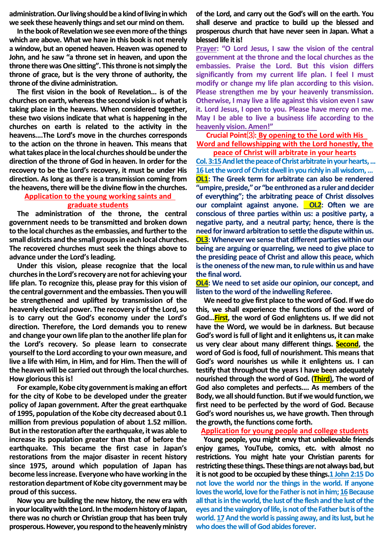**administration. Our living should be akind of living in which we seek these heavenly things and set our mind on them.**

**In the book of Revelation we see even more of the things which are above. What we have in this book is not merely a window, but an opened heaven. Heaven was opened to John, and he saw "a throne set in heaven, and upon the throne there was One sitting". This throne is not simply the throne of grace, but is the very throne of authority, the throne of the divine administration.**

**The first vision in the book of Revelation... is of the churches on earth, whereas the second vision is of what is taking place in the heavens. When considered together, these two visions indicate that what is happening in the churches on earth is related to the activity in the heavens....The Lord's move in the churches corresponds to the action on the throne in heaven. This means that what takes place in the local churches should be under the direction of the throne of God in heaven. In order for the recovery to be the Lord's recovery, it must be under His direction. As long as there is a transmission coming from the heavens, there will be the divine flow in the churches.**

# **Application to the young working saints and graduate students**

**The administration of the throne, the central government needs to be transmitted and broken down to the local churches as the embassies, and further to the small districts and the small groups in each local churches. The recovered churches must seek the things above to advance under the Lord's leading.**

**Under this vision, please recognize that the local churches in the Lord's recovery are not for achieving your life plan. To recognize this, please pray for this vision of the central government and the embassies. Then you will be strengthened and uplifted by transmission of the heavenly electrical power. The recovery is of the Lord, so is to carry out the God's economy under the Lord's direction. Therefore, the Lord demands you to renew and change your own life plan to the another life plan for the Lord's recovery. So please learn to consecrate yourself to the Lord according to your own measure, and live a life with Him, in Him, and for Him. Then the will of the heaven will be carried out through the local churches. How glorious this is!**

**For example, Kobe city government is making an effort for the city of Kobe to be developed under the greater policy of Japan government. After the great earthquake of 1995, population of the Kobe city decreased about 0.1 million from previous population of about 1.52 million. But in the restoration after the earthquake, it was able to increase its population greater than that of before the earthquake. This became the first case in Japan's restorations from the major disaster in recent history since 1975, around which population of Japan has become less increase. Everyone who have working in the restoration department of Kobe city government may be proud of this success.**

**Now you are building the new history, the new era with in your locality with the Lord. In the modern history of Japan, there was no church or Christian group that has been truly prosperous. However, you respond to the heavenly ministry**  **of the Lord, and carry out the God's will on the earth. You shall deserve and practice to build up the blessed and prosperous church that have never seen in Japan. What a blessed life it is!**

**Prayer: "O Lord Jesus, I saw the vision of the central government at the throne and the local churches as the embassies. Praise the Lord. But this vision differs significantly from my current life plan. I feel I must modify or change my life plan according to this vision. Please strengthen me by your heavenly transmission. Otherwise, I may live a life against this vision even I saw it. Lord Jesus, I open to you. Please have mercy on me. May I be able to live a business life according to the heavenly vision. Amen!"** 

### **Crucial Point**⑶**: By opening to the Lord with His Word and fellowshipping with the Lord honestly, the peace of Christ will arbitrate in your hearts**

**Col. 3:15And let the peace of Christ arbitrate in your hearts, ... 16 Let the word of Christ dwell in you richly in all wisdom,… OL1: The Greek term for arbitrate can also be rendered "umpire, preside," or "be enthroned as a ruler and decider of everything"; the arbitrating peace of Christ dissolves**  our complaint against anyone. **OL2:** Often we are **conscious of three parties within us: a positive party, a negative party, and a neutral party; hence, there is the need for inward arbitration to settle the dispute within us. OL3: Whenever we sense that different parties within our being are arguing or quarreling, we need to give place to the presiding peace of Christ and allow this peace, which is the oneness of the new man, to rule within us and have the final word.**

**OL4: We need to set aside our opinion, our concept, and listen to the word of the indwelling Referee.**

**We need to give first place to the word of God. If we do this, we shall experience the functions of the word of God…First, the word of God enlightens us. If we did not have the Word, we would be in darkness. But because God's word is full of light and it enlightens us, it can make us very clear about many different things. Second, the word of God is food, full of nourishment. This means that God's word nourishes us while it enlightens us. I can testify that throughout the years I have been adequately nourished through the word of God. (Third), The word of God also completes and perfects.... As members of the Body, we all should function. But if we would function, we first need to be perfected by the word of God. Because God's word nourishes us, we have growth. Then through the growth, the functions come forth.** 

**Application for young people and college students**

**Young people, you might envy that unbelievable friends enjoy games, YouTube, comics, etc. with almost no restrictions. You might hate your Christian parents for restricting these things.These things are not alwaysbad, but it is not good to be occupied by these things.1 John 2:15Do not love the world nor the things in the world. If anyone**  loves the world, love for the Father is not in him; 16 Because **all that is in the world, the lust of the flesh and the lust of the eyes and the vainglory of life, is not of the Father but is of the world. 17And the world is passing away, and its lust, but he who does the will of God abides forever.**